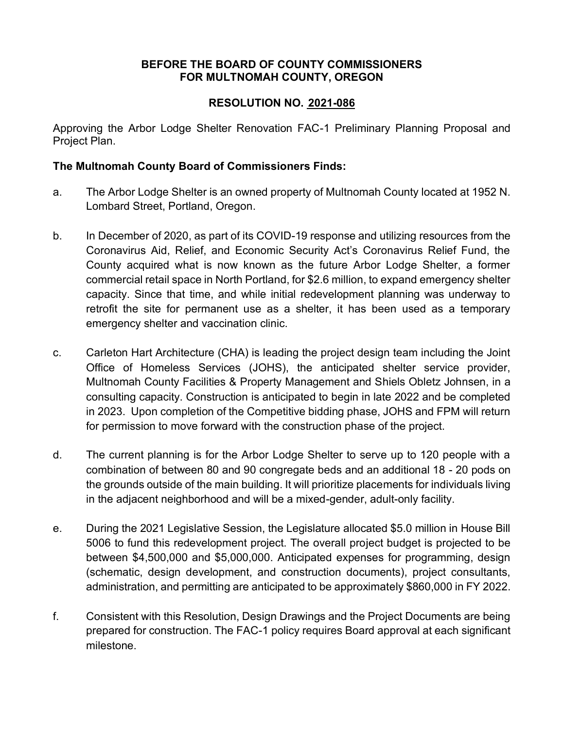### **BEFORE THE BOARD OF COUNTY COMMISSIONERS FOR MULTNOMAH COUNTY, OREGON**

# **RESOLUTION NO. 2021-086**

Approving the Arbor Lodge Shelter Renovation FAC-1 Preliminary Planning Proposal and Project Plan.

# **The Multnomah County Board of Commissioners Finds:**

- a. The Arbor Lodge Shelter is an owned property of Multnomah County located at 1952 N. Lombard Street, Portland, Oregon.
- b. In December of 2020, as part of its COVID-19 response and utilizing resources from the Coronavirus Aid, Relief, and Economic Security Act's Coronavirus Relief Fund, the County acquired what is now known as the future Arbor Lodge Shelter, a former commercial retail space in North Portland, for \$2.6 million, to expand emergency shelter capacity. Since that time, and while initial redevelopment planning was underway to retrofit the site for permanent use as a shelter, it has been used as a temporary emergency shelter and vaccination clinic.
- c. Carleton Hart Architecture (CHA) is leading the project design team including the Joint Office of Homeless Services (JOHS), the anticipated shelter service provider, Multnomah County Facilities & Property Management and Shiels Obletz Johnsen, in a consulting capacity. Construction is anticipated to begin in late 2022 and be completed in 2023. Upon completion of the Competitive bidding phase, JOHS and FPM will return for permission to move forward with the construction phase of the project.
- d. The current planning is for the Arbor Lodge Shelter to serve up to 120 people with a combination of between 80 and 90 congregate beds and an additional 18 - 20 pods on the grounds outside of the main building. It will prioritize placements for individuals living in the adjacent neighborhood and will be a mixed-gender, adult-only facility.
- e. During the 2021 Legislative Session, the Legislature allocated \$5.0 million in House Bill 5006 to fund this redevelopment project. The overall project budget is projected to be between \$4,500,000 and \$5,000,000. Anticipated expenses for programming, design (schematic, design development, and construction documents), project consultants, administration, and permitting are anticipated to be approximately \$860,000 in FY 2022.
- f. Consistent with this Resolution, Design Drawings and the Project Documents are being prepared for construction. The FAC-1 policy requires Board approval at each significant milestone.